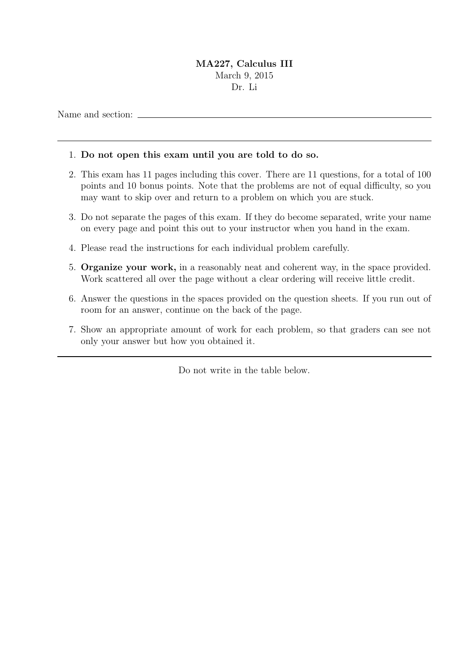## MA227, Calculus III March 9, 2015 Dr. Li

Name and section:  $\overline{\phantom{a}}$ 

## 1. Do not open this exam until you are told to do so.

- 2. This exam has 11 pages including this cover. There are 11 questions, for a total of 100 points and 10 bonus points. Note that the problems are not of equal difficulty, so you may want to skip over and return to a problem on which you are stuck.
- 3. Do not separate the pages of this exam. If they do become separated, write your name on every page and point this out to your instructor when you hand in the exam.
- 4. Please read the instructions for each individual problem carefully.
- 5. Organize your work, in a reasonably neat and coherent way, in the space provided. Work scattered all over the page without a clear ordering will receive little credit.
- 6. Answer the questions in the spaces provided on the question sheets. If you run out of room for an answer, continue on the back of the page.
- 7. Show an appropriate amount of work for each problem, so that graders can see not only your answer but how you obtained it.

Do not write in the table below.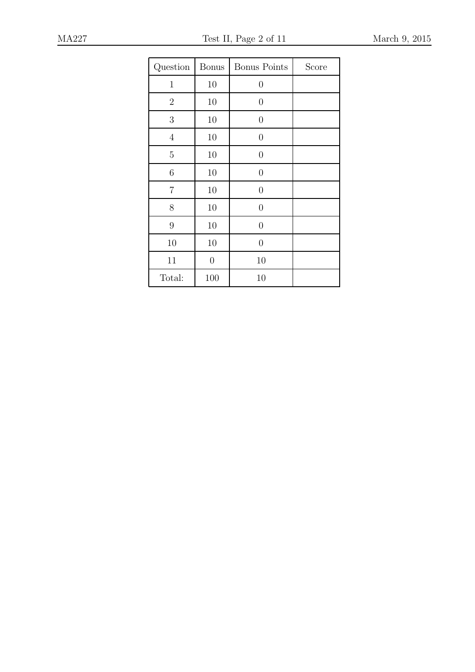| Question       | <b>Bonus</b>   | <b>Bonus Points</b> | Score |
|----------------|----------------|---------------------|-------|
| $\mathbf{1}$   | 10             | $\overline{0}$      |       |
| $\overline{2}$ | 10             | $\overline{0}$      |       |
| 3              | 10             | $\overline{0}$      |       |
| $\overline{4}$ | 10             | $\overline{0}$      |       |
| $\overline{5}$ | 10             | $\overline{0}$      |       |
| 6              | 10             | $\overline{0}$      |       |
| 7              | 10             | $\overline{0}$      |       |
| 8              | 10             | $\overline{0}$      |       |
| 9              | 10             | $\overline{0}$      |       |
| 10             | 10             | $\overline{0}$      |       |
| 11             | $\overline{0}$ | 10                  |       |
| Total:         | 100            | 10                  |       |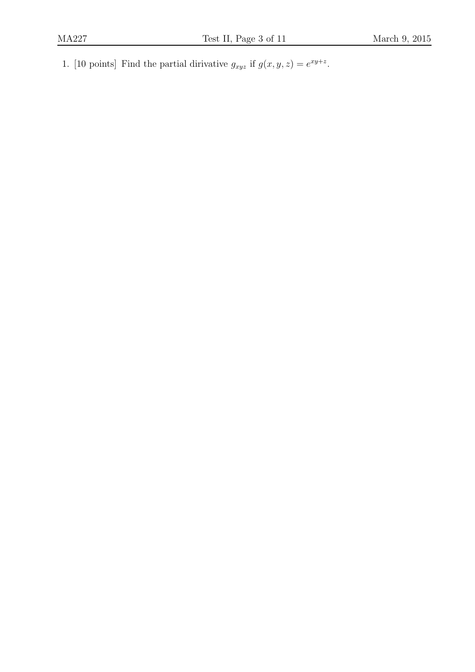1. [10 points] Find the partial dirivative  $g_{xyz}$  if  $g(x, y, z) = e^{xy+z}$ .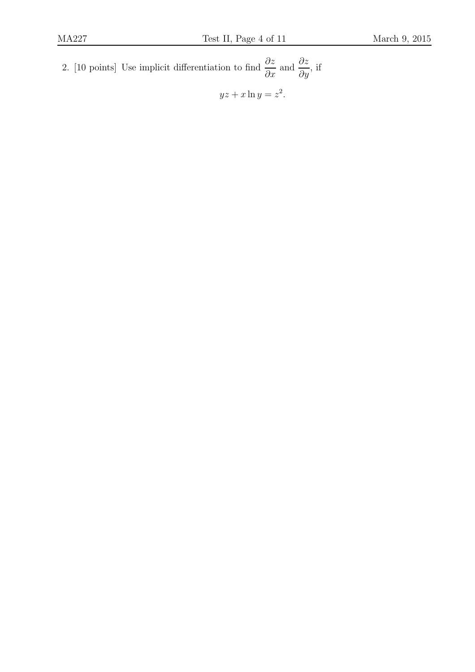2. [10 points] Use implicit differentiation to find  $\frac{\partial z}{\partial x}$  and  $\frac{\partial z}{\partial y}$ , if  $yz + x \ln y = z^2$ .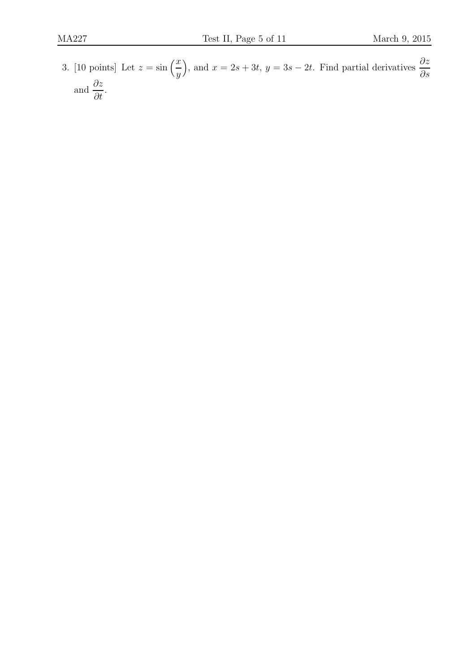3. [10 points] Let  $z = \sin\left(\frac{x}{y}\right)$ ), and  $x = 2s + 3t$ ,  $y = 3s - 2t$ . Find partial derivatives  $\frac{\partial z}{\partial s}$ and  $\frac{\partial z}{\partial t}$ .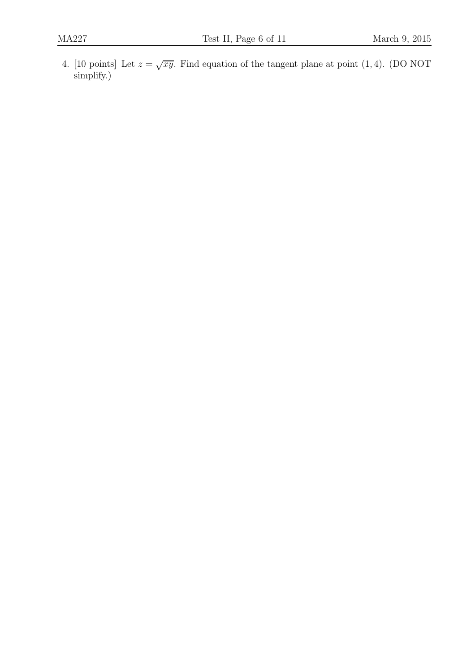4. [10 points] Let  $z = \sqrt{xy}$ . Find equation of the tangent plane at point (1,4). (DO NOT simplify.)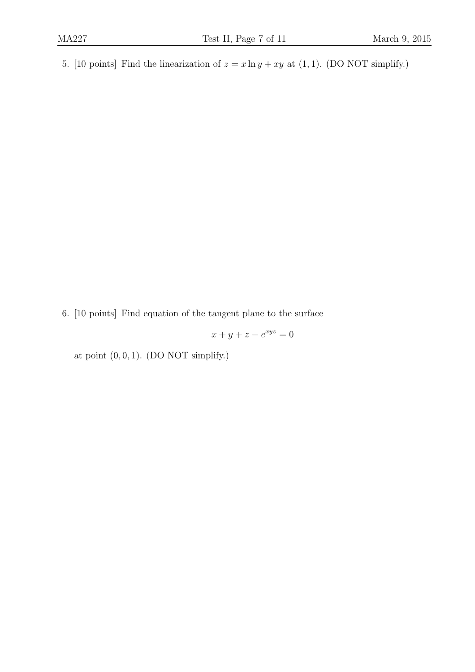5. [10 points] Find the linearization of  $z = x \ln y + xy$  at (1, 1). (DO NOT simplify.)

6. [10 points] Find equation of the tangent plane to the surface

 $x + y + z - e^{xyz} = 0$ 

at point  $(0, 0, 1)$ . (DO NOT simplify.)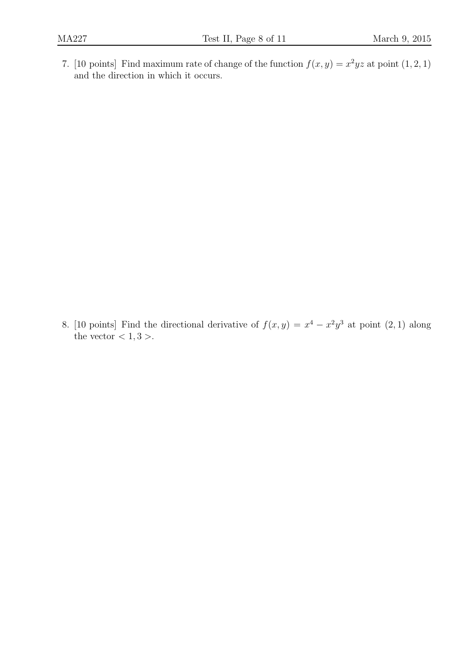7. [10 points] Find maximum rate of change of the function  $f(x, y) = x^2yz$  at point  $(1, 2, 1)$ and the direction in which it occurs.

8. [10 points] Find the directional derivative of  $f(x, y) = x^4 - x^2y^3$  at point  $(2, 1)$  along the vector  $< 1, 3 >$ .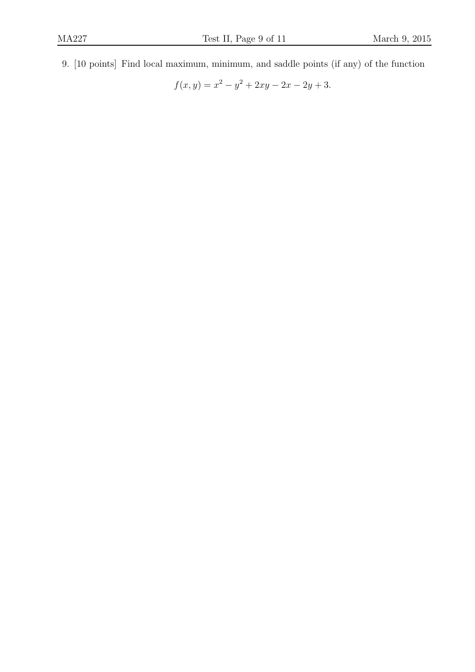9. [10 points] Find local maximum, minimum, and saddle points (if any) of the function

$$
f(x, y) = x^2 - y^2 + 2xy - 2x - 2y + 3.
$$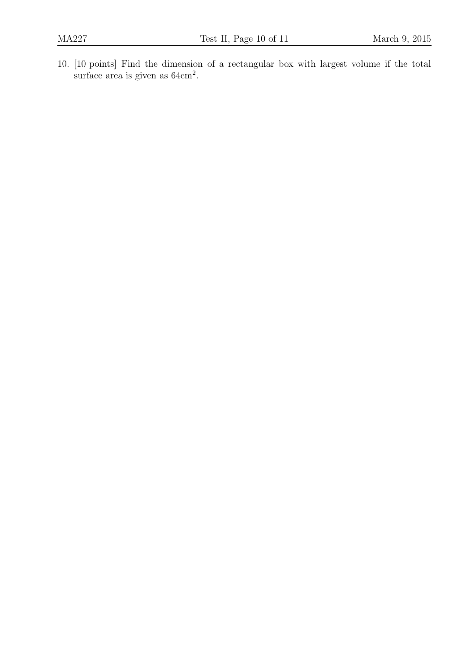10. [10 points] Find the dimension of a rectangular box with largest volume if the total surface area is given as  $64 \text{cm}^2$ .